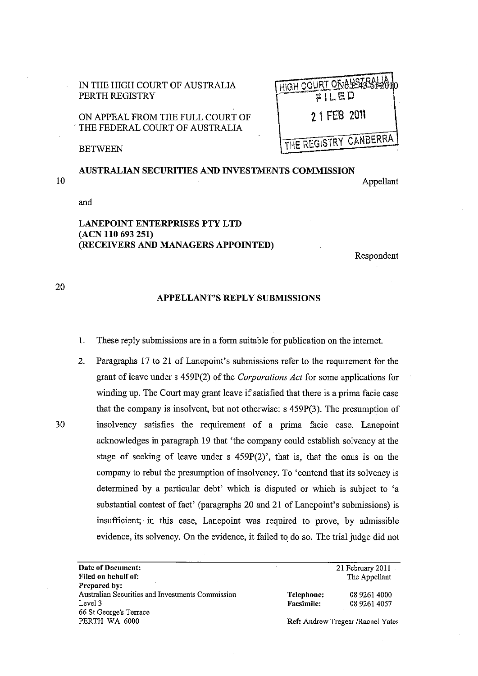| IN THE HIGH COURT OF AUSTRALIA |
|--------------------------------|
| PERTH REGISTRY                 |

ON APPEAL FROM THE FULL COURT OF . THE FEDERAL COURT OF AUSTRALIA

| HIGH COURT ON 843-86-2010<br>$\overline{FILED}$ |
|-------------------------------------------------|
| 2 1 FEB 2011                                    |
| THE REGISTRY CANBERRA                           |

**BETWEEN** 

## 10 AUSTRALIAN SECURITIES AND INVESTMENTS COMMISSION Appellant

and

## LANEPOINT ENTERPRISES PTY **LTD**  (ACN **110** 693251) (RECEIVERS AND MANAGERS APPOINTED)

Respondent

. . .

20

## APPELLANT'S REPLY SUBMISSIONS

- 1. These reply submissions are in a form suitable for publication on the internet.
- 2. Paragraphs 17 to 21 of Lanepoint's submissions refer to the requirement for the grant ofleave under s 459P(2) of the *Corporations Act* for some applications for winding up. The Court may grant leave if satisfied that there is a prima facie case that the company is insolvent, but not otherwise: s 459P(3). The presumption of 30 insolvency satisfies the requirement of a prima facie case. Lanepoint acknowledges in paragraph 19 that 'the company could establish solvency at the stage of seeking of leave under s 459P(2)', that is, that the onus is on the company to rebut the presumption of insolvency. To 'contend that its solvency is determined by a particular debt' which is disputed or which is subject to 'a substantial contest of fact' (paragraphs 20 and 21 of Lanepoint's submissions) is insufficient; in this case, Lanepoint was required to prove, by admissible evidence, its solvency. On the evidence, it failed to do so. The trial judge did not

| Date of Document:                                |                                          | 21 February $2011$ . |
|--------------------------------------------------|------------------------------------------|----------------------|
| Filed on behalf of:                              |                                          | The Appellant        |
| Prepared by:                                     |                                          |                      |
| Australian Securities and Investments Commission | Telephone:                               | 08 9261 4000         |
| Level 3                                          | <b>Facsimile:</b>                        | 08 9261 4057         |
| 66 St George's Terrace                           |                                          |                      |
| PERTH WA 6000                                    | <b>Ref: Andrew Tregear /Rachel Yates</b> |                      |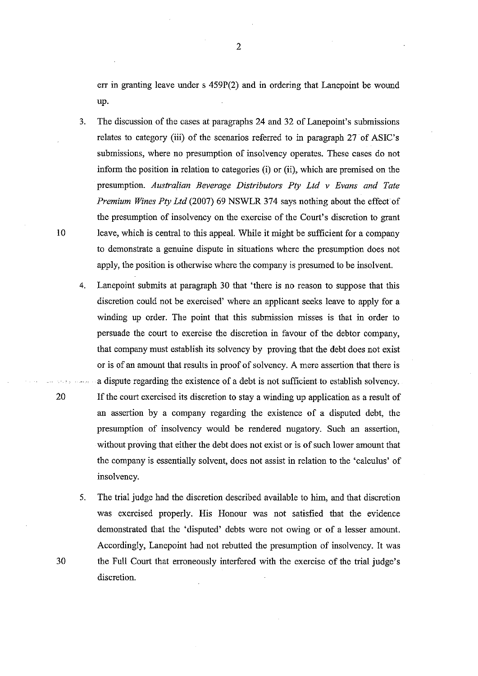err in granting leave under  $s$  459P(2) and in ordering that Lanepoint be wound up.

- 3. The discussion of the cases at paragraphs 24 and 32 of Lanepoint's submissions relates to category (iii) of the scenarios referred to in paragraph 27 of ASIC's submissions, where no presumption of insolvency operates. These cases do not inform the position in relation to categories (i) or (ii), which are premised on the presumption. *Australian Beverage Distributors Ply Ltd v Evans and Tate Premium Wines Pty Ltd* (2007) 69 NSWLR 374 says nothing about the effect of the presumption of insolvency on the exercise of the Court's discretion to grant 10 leave, which is central to this appeal. While it might be sufficient for a company to demonstrate a genuine dispute in situations where the presumption does not apply, the position is otherwise where the company is presumed to be insolvent.
- 4. Lanepoint submits at paragraph 30 that 'there is no reason to suppose that this discretion could not be exercised' where an applicant seeks leave to apply for a winding up order. The point that this submission misses is that in order to persuade the court to exercise the discretion in favour of the debtor company, that company must establish its solvency by proving that the debt does not exist or is of an amount that results in proof of solvency. A mere assertion that there is a dispute regarding the existence of a debt is not sufficient to establish solvency. 20 **If** the court exercised its discretion to stay a winding up application as a result of an assertion by a company regarding the existence of a disputed debt, the presumption of insolvency would be rendered nugatory. Such an assertion, without proving that either the debt does not exist or is of such lower amount that the company is essentially solvent, does not assist in relation to the 'calculus' of insolvency.
- 5. The trial judge had the discretion described available to him, and that discretion was exercised properly. His Honour was not satisfied that the evidence demonstrated that the 'disputed' debts were not owing or of a lesser amount. Accordingly, Lanepoint had not rebutted the presumption of insolvency. It was 30 the Full Court that erroneously interfered with the exercise of the trial judge's discretion.